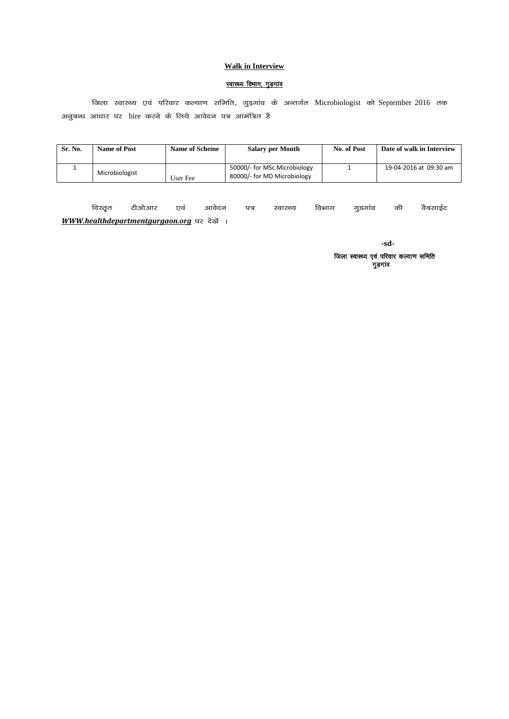# **Walk in Interview**

#### <u>स्वास्थ्य विभाग, गुड़गांव</u>

जिला स्वास्थ्य एवं परिवार कल्याण समिति, गुड़गांव के अन्तर्गत Microbiologist को $S$ eptember 2016 तक अनुबन्ध आधार पर hire करने के लिये आवेदन पत्र आमंत्रित है

| Sr. No. | Name of Post   | <b>Name of Scheme</b> | Salary per Month                                            | No. of Post | Date of walk in Interview |
|---------|----------------|-----------------------|-------------------------------------------------------------|-------------|---------------------------|
|         | Microbiologist | User Fee              | 50000/- for MSc Microbiology<br>80000/- for MD Microbiology |             | 19-04-2016 at 09:30 am    |

विस्तृत टीओआर एवं आवेदन पत्र स्वास्थ्य विभाग गुडगांव की वैबसाईट WWW.healthdepartmentgurgaon.org पर देखें ।

 **-sd-**

जिला स्वास्थ्य एवं परिवार कल्याण समिति .<br>गुड़गांव